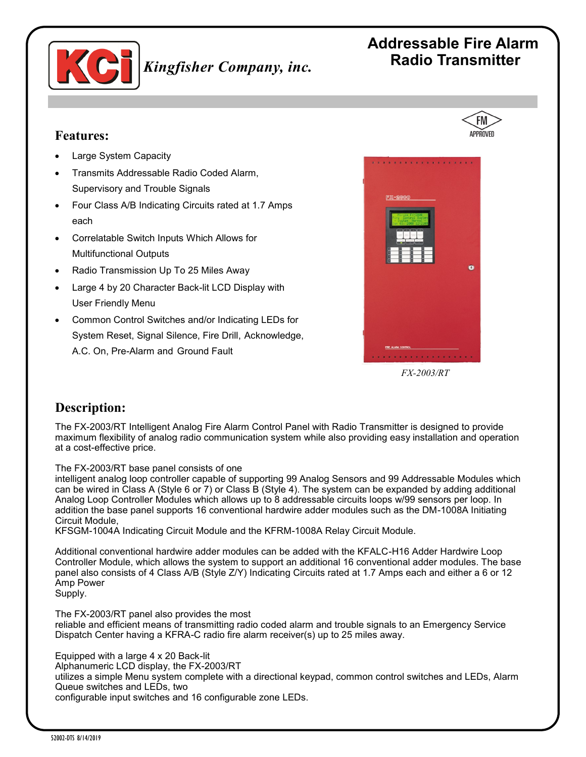

## **Addressable Fire Alarm Radio Transmitter**

#### **Features:**

- Large System Capacity
- Transmits Addressable Radio Coded Alarm, Supervisory and Trouble Signals
- Four Class A/B Indicating Circuits rated at 1.7 Amps each
- Correlatable Switch Inputs Which Allows for Multifunctional Outputs
- Radio Transmission Up To 25 Miles Away
- Large 4 by 20 Character Back-lit LCD Display with User Friendly Menu
- Common Control Switches and/or Indicating LEDs for System Reset, Signal Silence, Fire Drill, Acknowledge, A.C. On, Pre-Alarm and Ground Fault



*FX-2003/RT* 

#### **Description:**

The FX-2003/RT Intelligent Analog Fire Alarm Control Panel with Radio Transmitter is designed to provide maximum flexibility of analog radio communication system while also providing easy installation and operation at a cost-effective price.

#### The FX-2003/RT base panel consists of one

intelligent analog loop controller capable of supporting 99 Analog Sensors and 99 Addressable Modules which can be wired in Class A (Style 6 or 7) or Class B (Style 4). The system can be expanded by adding additional Analog Loop Controller Modules which allows up to 8 addressable circuits loops w/99 sensors per loop. In addition the base panel supports 16 conventional hardwire adder modules such as the DM-1008A Initiating Circuit Module,

KFSGM-1004A Indicating Circuit Module and the KFRM-1008A Relay Circuit Module.

Additional conventional hardwire adder modules can be added with the KFALC-H16 Adder Hardwire Loop Controller Module, which allows the system to support an additional 16 conventional adder modules. The base panel also consists of 4 Class A/B (Style Z/Y) Indicating Circuits rated at 1.7 Amps each and either a 6 or 12 Amp Power Supply.

The FX-2003/RT panel also provides the most reliable and efficient means of transmitting radio coded alarm and trouble signals to an Emergency Service Dispatch Center having a KFRA-C radio fire alarm receiver(s) up to 25 miles away.

Equipped with a large 4 x 20 Back-lit Alphanumeric LCD display, the FX-2003/RT utilizes a simple Menu system complete with a directional keypad, common control switches and LEDs, Alarm Queue switches and LEDs, two configurable input switches and 16 configurable zone LEDs.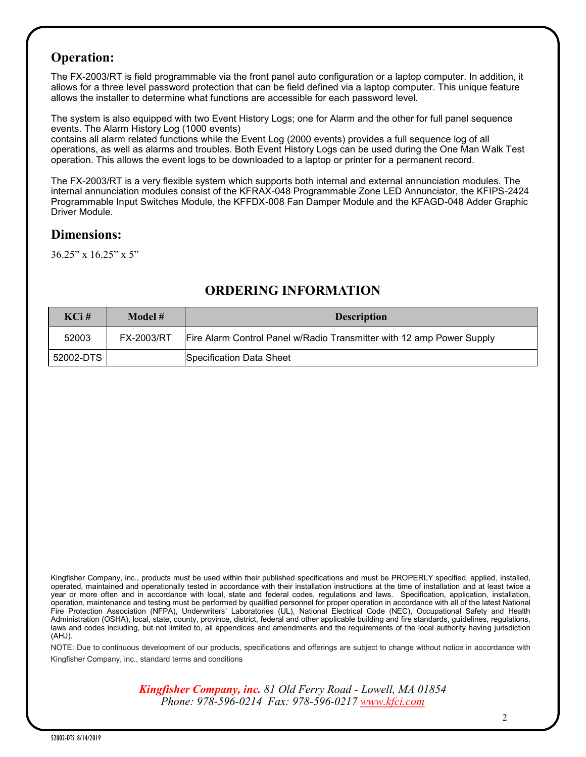#### **Operation:**

The FX-2003/RT is field programmable via the front panel auto configuration or a laptop computer. In addition, it allows for a three level password protection that can be field defined via a laptop computer. This unique feature allows the installer to determine what functions are accessible for each password level.

The system is also equipped with two Event History Logs; one for Alarm and the other for full panel sequence events. The Alarm History Log (1000 events)

contains all alarm related functions while the Event Log (2000 events) provides a full sequence log of all operations, as well as alarms and troubles. Both Event History Logs can be used during the One Man Walk Test operation. This allows the event logs to be downloaded to a laptop or printer for a permanent record.

The FX-2003/RT is a very flexible system which supports both internal and external annunciation modules. The internal annunciation modules consist of the KFRAX-048 Programmable Zone LED Annunciator, the KFIPS-2424 Programmable Input Switches Module, the KFFDX-008 Fan Damper Module and the KFAGD-048 Adder Graphic Driver Module.

#### **Dimensions:**

36.25" x 16.25" x 5"

| $KCi$ #   | Model #    | <b>Description</b>                                                    |
|-----------|------------|-----------------------------------------------------------------------|
| 52003     | FX-2003/RT | Fire Alarm Control Panel w/Radio Transmitter with 12 amp Power Supply |
| 52002-DTS |            | Specification Data Sheet                                              |

### **ORDERING INFORMATION**

Kingfisher Company, inc., products must be used within their published specifications and must be PROPERLY specified, applied, installed, operated, maintained and operationally tested in accordance with their installation instructions at the time of installation and at least twice a year or more often and in accordance with local, state and federal codes, regulations and laws. Specification, application, installation, operation, maintenance and testing must be performed by qualified personnel for proper operation in accordance with all of the latest National Fire Protection Association (NFPA), Underwriters' Laboratories (UL), National Electrical Code (NEC), Occupational Safety and Health Administration (OSHA), local, state, county, province, district, federal and other applicable building and fire standards, guidelines, regulations, laws and codes including, but not limited to, all appendices and amendments and the requirements of the local authority having jurisdiction (AHJ).

NOTE: Due to continuous development of our products, specifications and offerings are subject to change without notice in accordance with Kingfisher Company, inc., standard terms and conditions

> *Kingfisher Company, inc. 81 Old Ferry Road - Lowell, MA 01854 Phone: 978-596-0214 Fax: 978-596-0217 [www.kfci.com](http://www.kfci.com/)*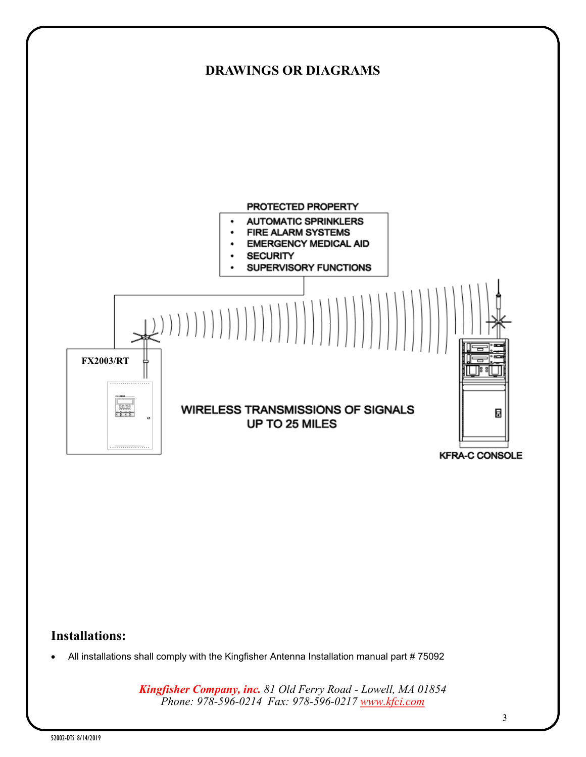